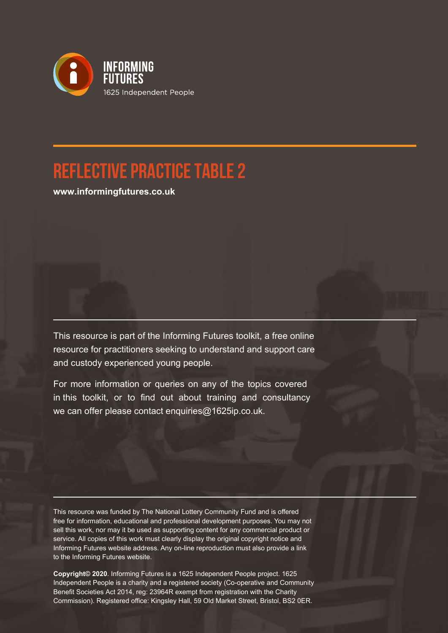

## **Reflective Practice Table 2**

**www.informingfutures.co.uk**

This resource is part of the Informing Futures toolkit, a free online resource for practitioners seeking to understand and support care and custody experienced young people.

For more information or queries on any of the topics covered in this toolkit, or to find out about training and consultancy we can offer please contact enquiries@1625ip.co.uk.

This resource was funded by The National Lottery Community Fund and is offered free for information, educational and professional development purposes. You may not sell this work, nor may it be used as supporting content for any commercial product or service. All copies of this work must clearly display the original copyright notice and Informing Futures website address. Any on-line reproduction must also provide a link to the Informing Futures website.

**Copyright© 2020**. Informing Futures is a 1625 Independent People project. 1625 Independent People is a charity and a registered society (Co-operative and Community Benefit Societies Act 2014, reg: 23964R exempt from registration with the Charity Commission). Registered office: Kingsley Hall, 59 Old Market Street, Bristol, BS2 0ER.